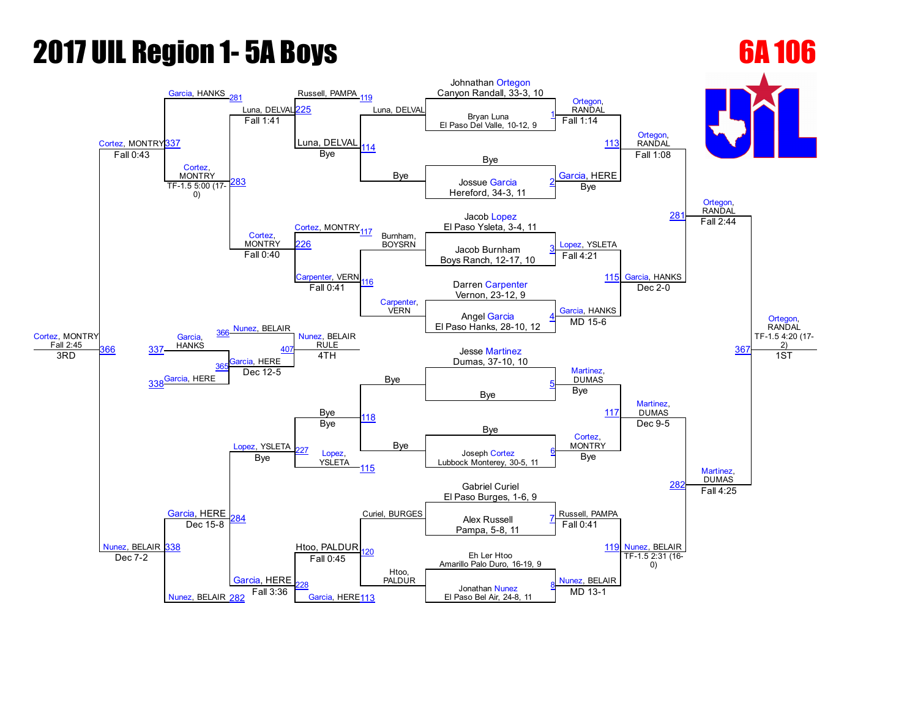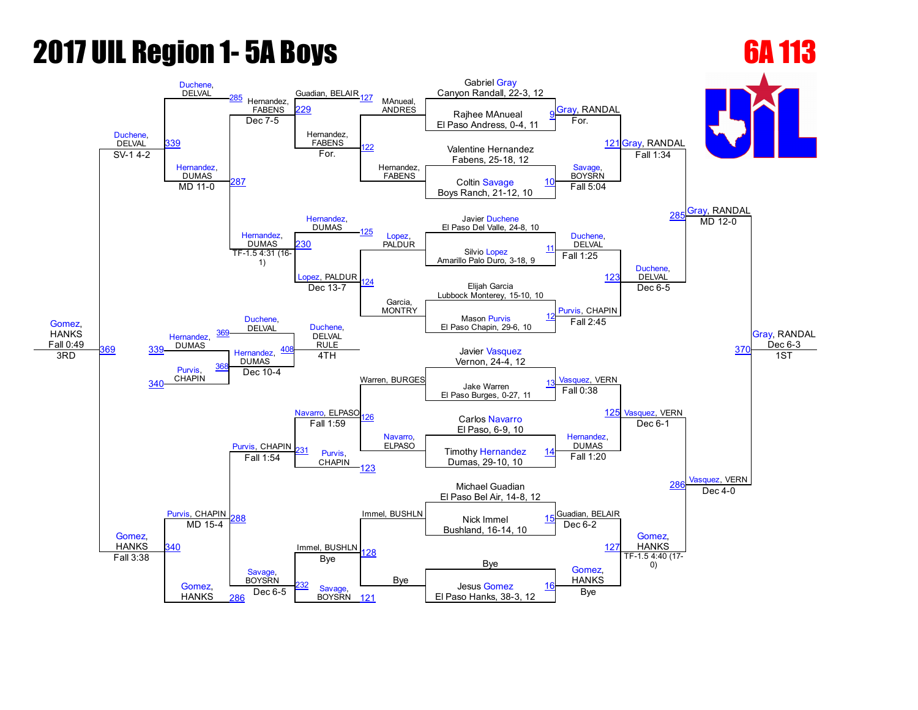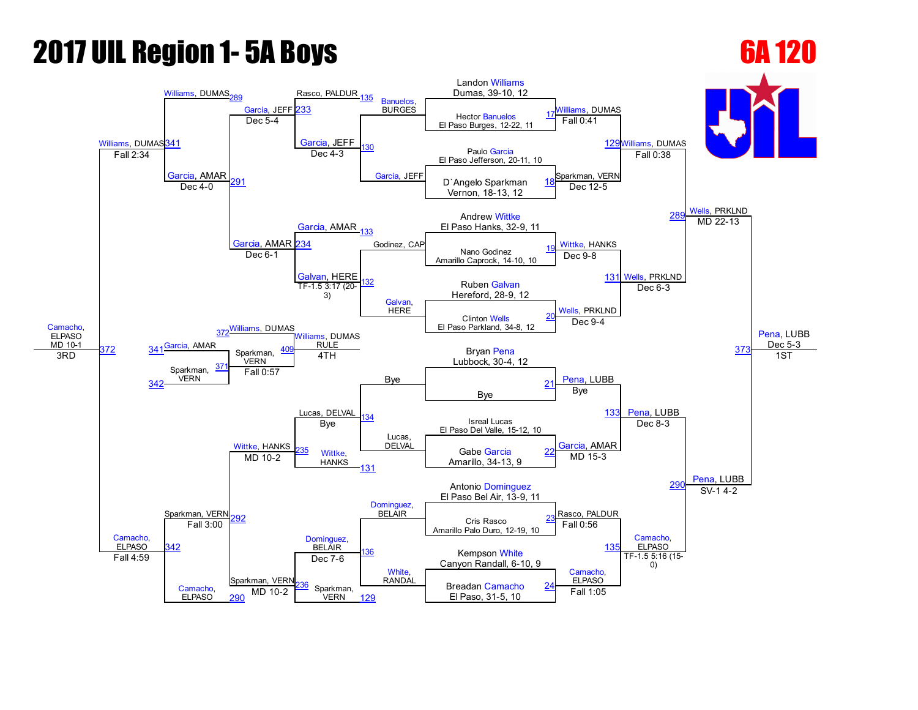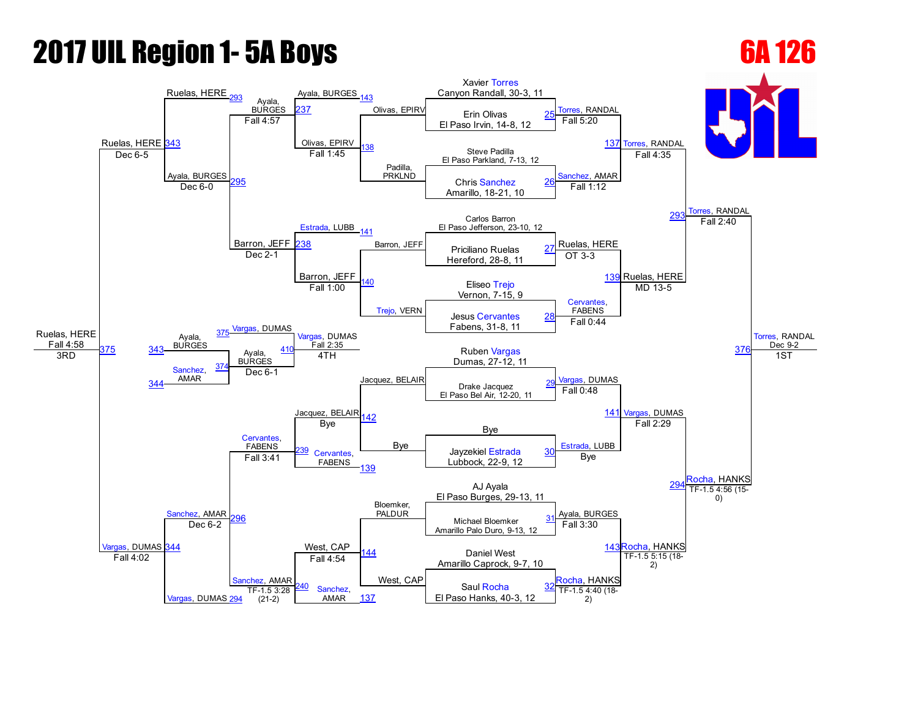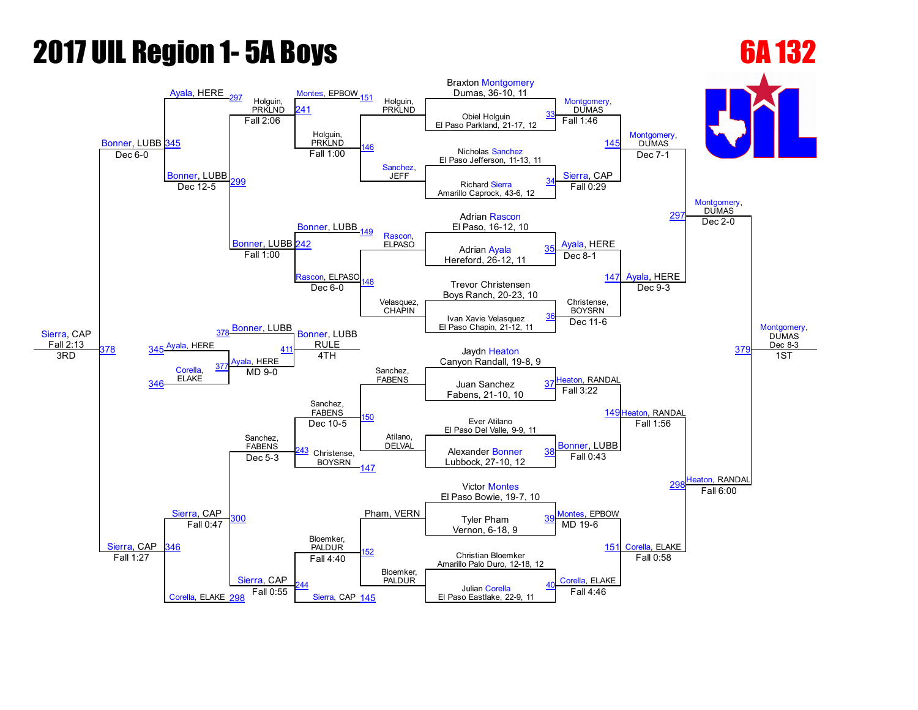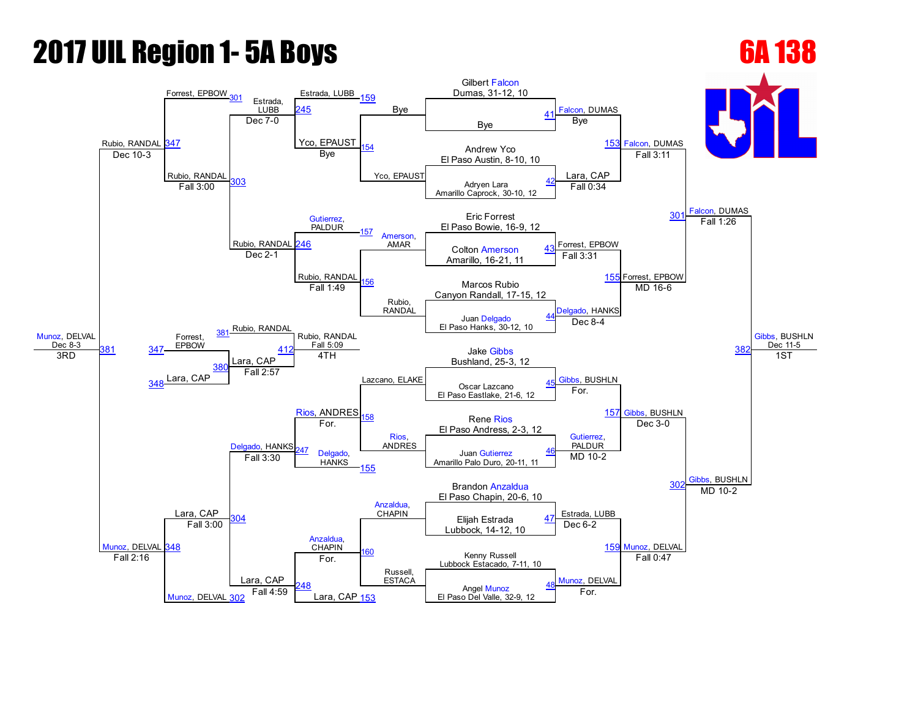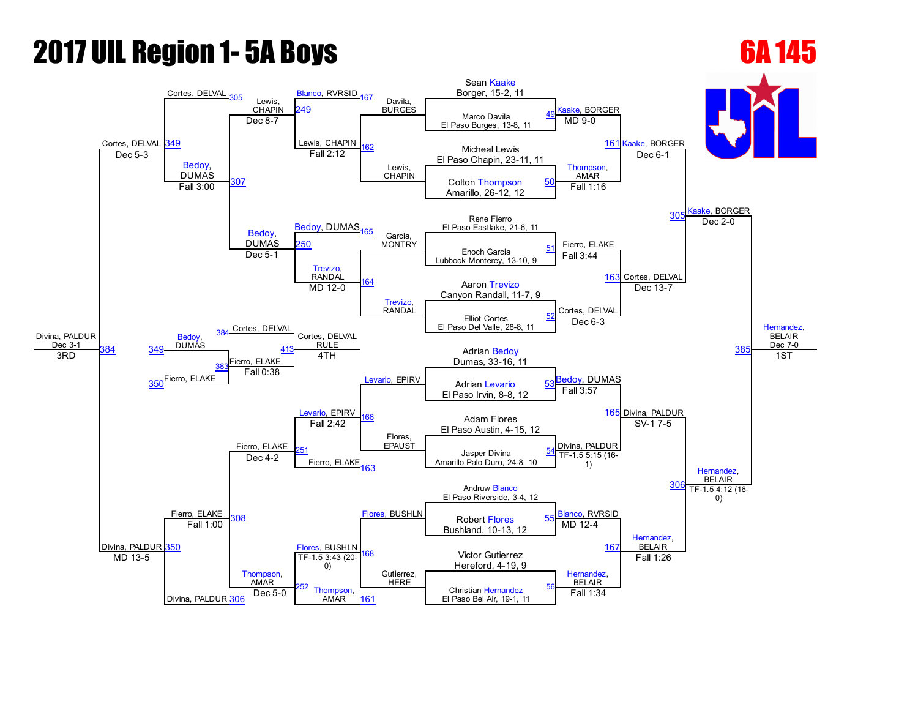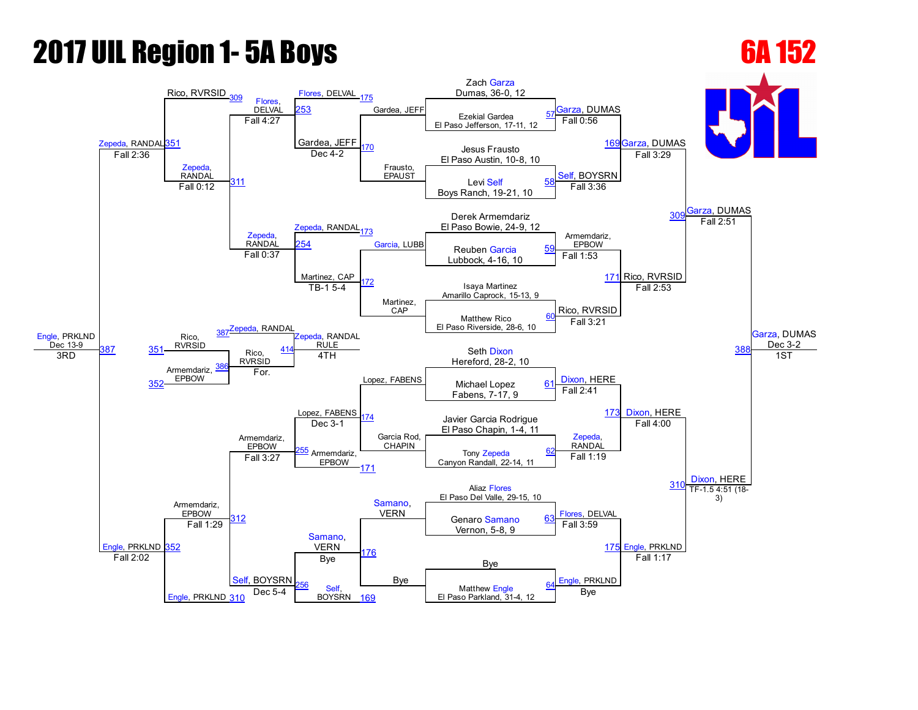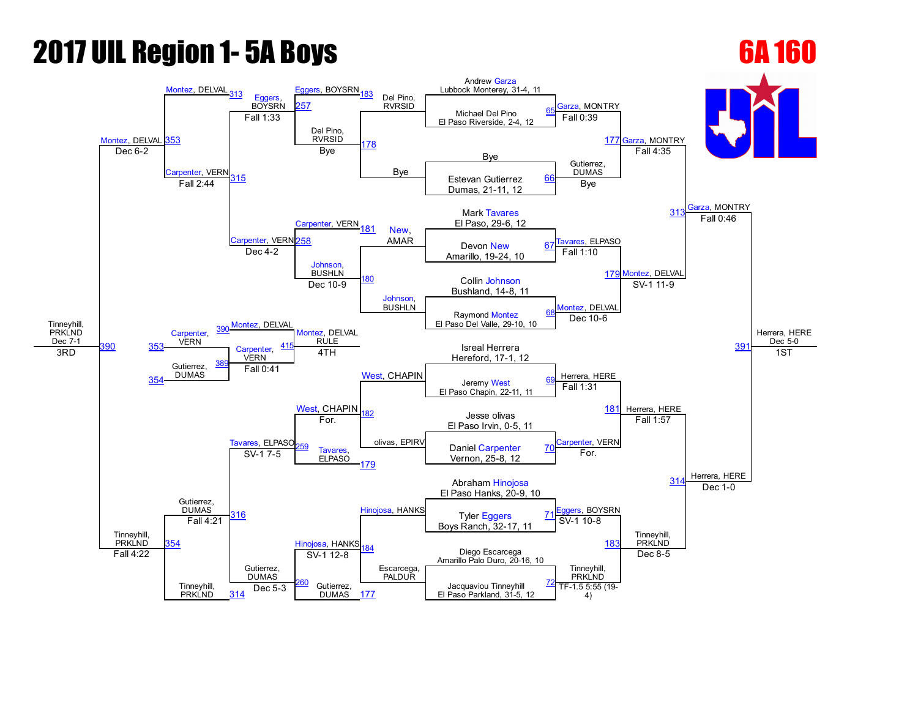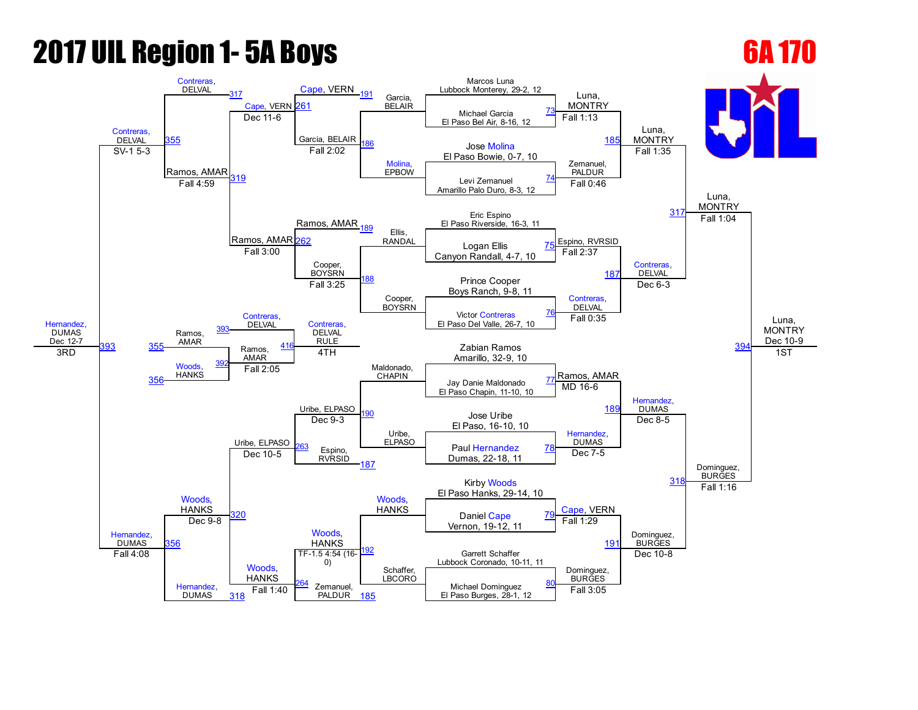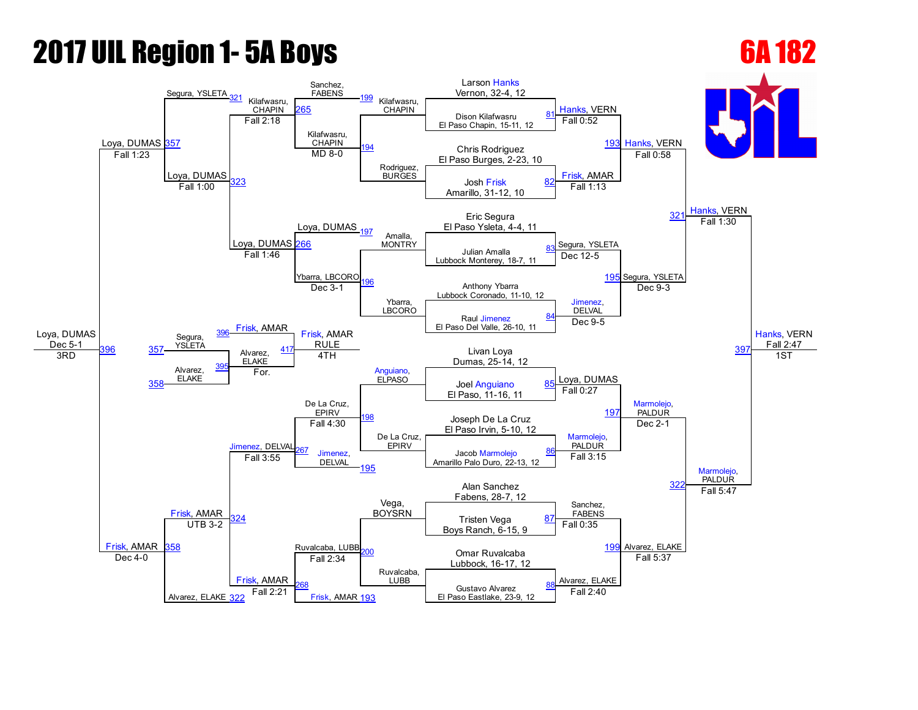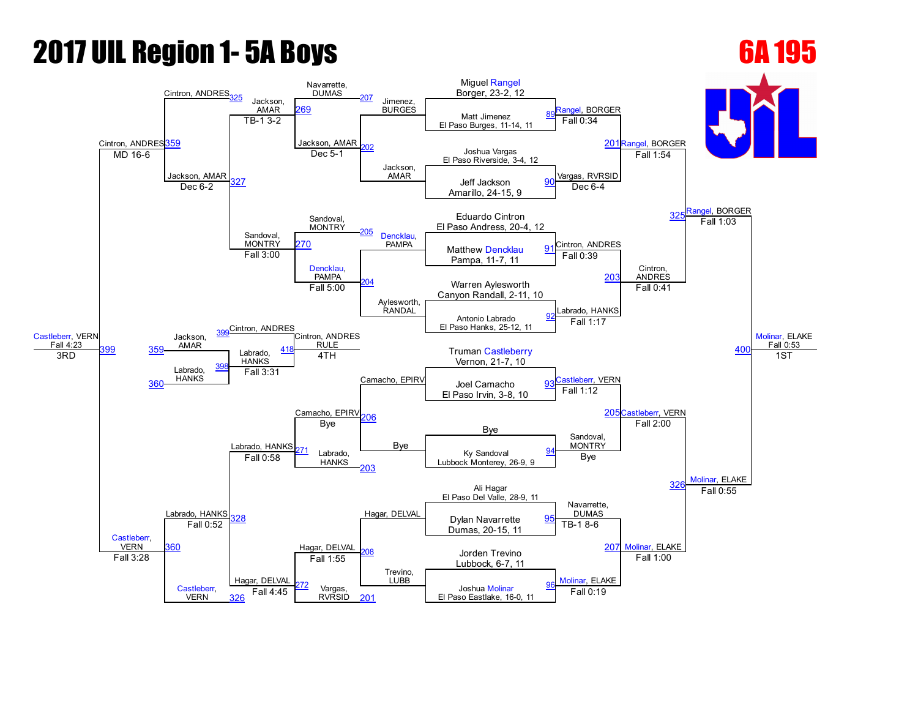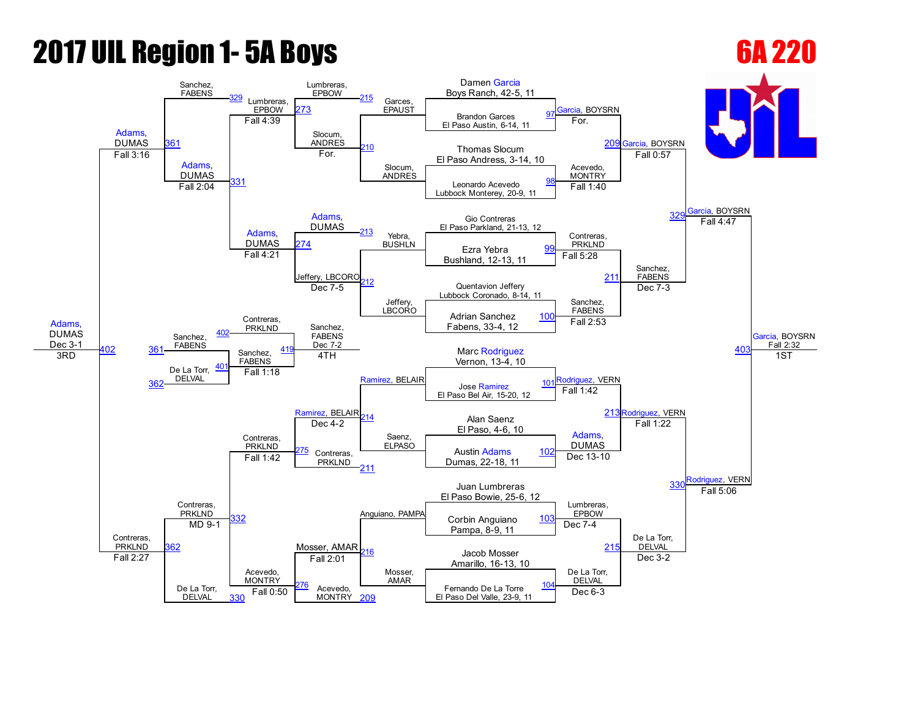